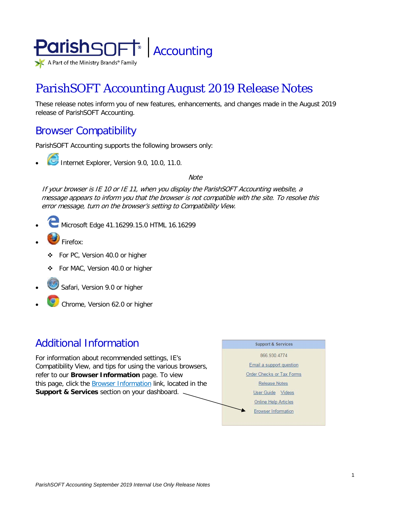

# ParishSOFT Accounting August 2019 Release Notes

These release notes inform you of new features, enhancements, and changes made in the August 2019 release of ParishSOFT Accounting.

## Browser Compatibility

ParishSOFT Accounting supports the following browsers only:

**• Internet Explorer, Version 9.0, 10.0, 11.0.** 

**Note** 

If your browser is IE 10 or IE 11, when you display the ParishSOFT Accounting website, a message appears to inform you that the browser is not compatible with the site. To resolve this error message, turn on the browser's setting to Compatibility View.

- Microsoft Edge 41.16299.15.0 HTML 16.16299
- Firefox:
	- For PC, Version 40.0 or higher
	- For MAC, Version 40.0 or higher
- Safari, Version 9.0 or higher
- Chrome, Version 62.0 or higher

## Additional Information

For information about recommended settings, IE's Compatibility View, and tips for using the various browsers, refer to our **Browser Information** page. To view this page, click the Browser Information link, located in the **Support & Services** section on your dashboard.

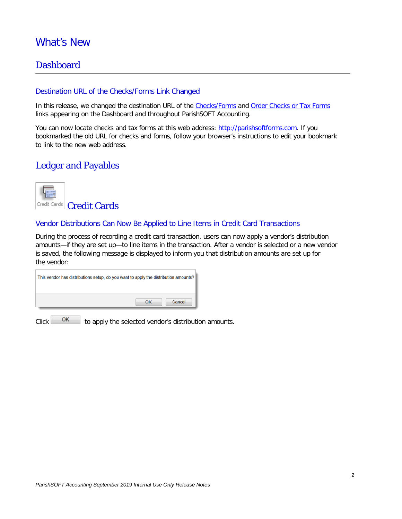## What's New

### **Dashboard**

### Destination URL of the Checks/Forms Link Changed

In this release, we changed the destination URL of the [Checks/Forms](http://parishsoftforms.com/) and [Order Checks or Tax Forms](http://parishsoftforms.com/) links appearing on the Dashboard and throughout ParishSOFT Accounting.

You can now locate checks and tax forms at this web address: [http://parishsoftforms.com.](http://parishsoftforms.com/) If you bookmarked the old URL for checks and forms, follow your browser's instructions to edit your bookmark to link to the new web address.

### Ledger and Payables



### Vendor Distributions Can Now Be Applied to Line Items in Credit Card Transactions

During the process of recording a credit card transaction, users can now apply a vendor's distribution amounts—if they are set up—to line items in the transaction. After a vendor is selected or a new vendor is saved, the following message is displayed to inform you that distribution amounts are set up for the vendor:

| This vendor has distributions setup, do you want to apply the distribution amounts? |        |
|-------------------------------------------------------------------------------------|--------|
| OK                                                                                  | Cancel |

Click to apply the selected vendor's distribution amounts.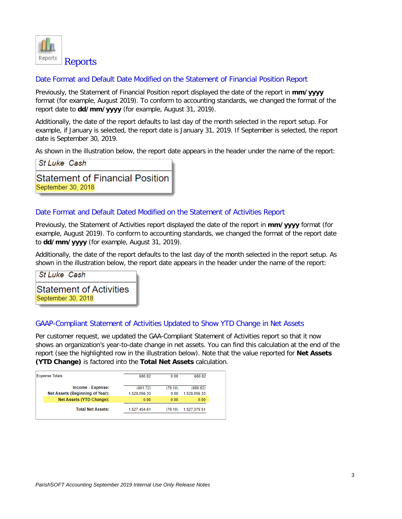

### Date Format and Default Date Modified on the Statement of Financial Position Report

Previously, the Statement of Financial Position report displayed the date of the report in **mm/yyyy** format (for example, August 2019). To conform to accounting standards, we changed the format of the report date to **dd/mm/yyyy** (for example, August 31, 2019).

Additionally, the date of the report defaults to last day of the month selected in the report setup. For example, if January is selected, the report date is January 31, 2019. If September is selected, the report date is September 30, 2019.

As shown in the illustration below, the report date appears in the header under the name of the report:

St Luke Cash

**Statement of Financial Position** September 30, 2018

### Date Format and Default Dated Modified on the Statement of Activities Report

Previously, the Statement of Activities report displayed the date of the report in **mm/yyyy** format (for example, August 2019). To conform to accounting standards, we changed the format of the report date to **dd/mm/yyyy** (for example, August 31, 2019).

Additionally, the date of the report defaults to the last day of the month selected in the report setup. As shown in the illustration below, the report date appears in the header under the name of the report:

St Luke Cash

Statement of Activities September 30, 2018

### GAAP-Compliant Statement of Activities Updated to Show YTD Change in Net Assets

Per customer request, we updated the GAA-Compliant Statement of Activities report so that it now shows an organization's year-to-date change in net assets. You can find this calculation at the end of the report (see the highlighted row in the illustration below). Note that the value reported for **Net Assets (YTD Change)** is factored into the **Total Net Assets** calculation.

| <b>Expense Totals:</b>          | 680.82       | 0.00    | 680.82       |
|---------------------------------|--------------|---------|--------------|
| Income - Expense:               | (601.72)     | (79.10) | (680.82)     |
| Net Assets (Beginning of Year): | 1.528.056.33 | 0.00    | 1.528.056.33 |
| Net Assets (YTD Change):        | 0.00         | 0.00    | 0.00         |
| <b>Total Net Assets:</b>        | 1.527.454.61 | (79.10) | 1.527.375.51 |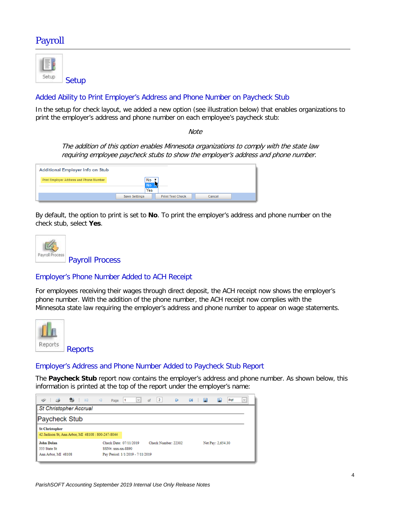## Payroll



### Added Ability to Print Employer's Address and Phone Number on Paycheck Stub

In the setup for check layout, we added a new option (see illustration below) that enables organizations to print the employer's address and phone number on each employee's paycheck stub:

Note

The addition of this option enables Minnesota organizations to comply with the state law requiring employee paycheck stubs to show the employer's address and phone number.

| <b>Additional Employer Info on Stub</b> |                      |                                   |  |
|-----------------------------------------|----------------------|-----------------------------------|--|
| Print Employer Address and Phone Number | No ₹<br>No.          |                                   |  |
|                                         | Yes                  |                                   |  |
|                                         | <b>Save Settings</b> | <b>Print Test Check</b><br>Cancel |  |

By default, the option to print is set to **No**. To print the employer's address and phone number on the check stub, select **Yes**.



### Employer's Phone Number Added to ACH Receipt

For employees receiving their wages through direct deposit, the ACH receipt now shows the employer's phone number. With the addition of the phone number, the ACH receipt now complies with the Minnesota state law requiring the employer's address and phone number to appear on wage statements.



### Employer's Address and Phone Number Added to Paycheck Stub Report

The **Paycheck Stub** report now contains the employer's address and phone number. As shown below, this information is printed at the top of the report under the employer's name:

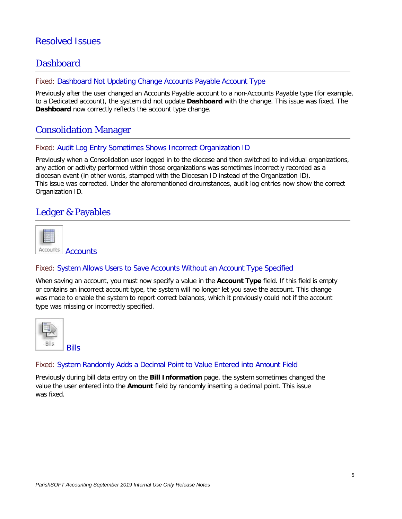### Resolved Issues

### **Dashboard**

Fixed: Dashboard Not Updating Change Accounts Payable Account Type

Previously after the user changed an Accounts Payable account to a non-Accounts Payable type (for example, to a Dedicated account), the system did not update **Dashboard** with the change. This issue was fixed. The **Dashboard** now correctly reflects the account type change.

### Consolidation Manager

#### Fixed: Audit Log Entry Sometimes Shows Incorrect Organization ID

Previously when a Consolidation user logged in to the diocese and then switched to individual organizations, any action or activity performed within those organizations was sometimes incorrectly recorded as a diocesan event (in other words, stamped with the Diocesan ID instead of the Organization ID). This issue was corrected. Under the aforementioned circumstances, audit log entries now show the correct Organization ID.

### Ledger & Payables

**Accounts** 

### Fixed: System Allows Users to Save Accounts Without an Account Type Specified

When saving an account, you must now specify a value in the **Account Type** field. If this field is empty or contains an incorrect account type, the system will no longer let you save the account. This change was made to enable the system to report correct balances, which it previously could not if the account type was missing or incorrectly specified.



### Fixed: System Randomly Adds a Decimal Point to Value Entered into Amount Field

Previously during bill data entry on the **Bill Information** page, the system sometimes changed the value the user entered into the **Amount** field by randomly inserting a decimal point. This issue was fixed.